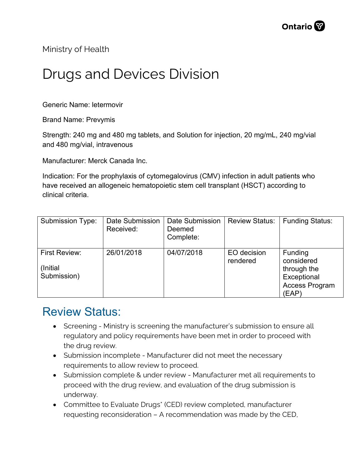Ministry of Health

## Drugs and Devices Division

Generic Name: letermovir

Brand Name: Prevymis

Strength: 240 mg and 480 mg tablets, and Solution for injection, 20 mg/mL, 240 mg/vial and 480 mg/vial, intravenous

Manufacturer: Merck Canada Inc.

Indication: For the prophylaxis of cytomegalovirus (CMV) infection in adult patients who have received an allogeneic hematopoietic stem cell transplant (HSCT) according to clinical criteria.

| <b>Submission Type:</b>                  | Date Submission<br>Received: | Date Submission<br>Deemed<br>Complete: | <b>Review Status:</b>   | <b>Funding Status:</b>                                                                |
|------------------------------------------|------------------------------|----------------------------------------|-------------------------|---------------------------------------------------------------------------------------|
| First Review:<br>(Initial<br>Submission) | 26/01/2018                   | 04/07/2018                             | EO decision<br>rendered | Funding<br>considered<br>through the<br>Exceptional<br><b>Access Program</b><br>(EAP) |

## Review Status:

- Screening Ministry is screening the manufacturer's submission to ensure all regulatory and policy requirements have been met in order to proceed with the drug review.
- Submission incomplete Manufacturer did not meet the necessary requirements to allow review to proceed.
- Submission complete & under review Manufacturer met all requirements to proceed with the drug review, and evaluation of the drug submission is underway.
- Committee to Evaluate Drugs\* (CED) review completed, manufacturer requesting reconsideration – A recommendation was made by the CED,